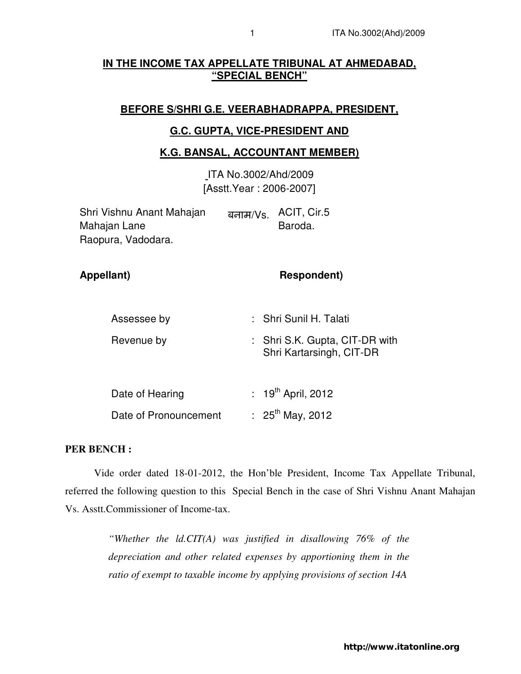## **IN THE INCOME TAX APPELLATE TRIBUNAL AT AHMEDABAD, "SPECIAL BENCH"**

# **BEFORE S/SHRI G.E. VEERABHADRAPPA, PRESIDENT,**

#### **G.C. GUPTA, VICE-PRESIDENT AND**

#### **K.G. BANSAL, ACCOUNTANT MEMBER)**

ITA No.3002/Ahd/2009 [Asstt.Year : 2006-2007]

| Shri Vishnu Anant Mahajan | बनाम/Vs.   ACIT, Cir.5 |
|---------------------------|------------------------|
| Mahajan Lane              | Baroda.                |
| Raopura, Vadodara.        |                        |

| Appellant)            | <b>Respondent)</b>                                         |
|-----------------------|------------------------------------------------------------|
|                       |                                                            |
| Assessee by           | : Shri Sunil H. Talati                                     |
| Revenue by            | : Shri S.K. Gupta, CIT-DR with<br>Shri Kartarsingh, CIT-DR |
| Date of Hearing       | : $19^{th}$ April, 2012                                    |
| Date of Pronouncement | : $25^{th}$ May, 2012                                      |

### **PER BENCH :**

Vide order dated 18-01-2012, the Hon'ble President, Income Tax Appellate Tribunal, referred the following question to this Special Bench in the case of Shri Vishnu Anant Mahajan Vs. Asstt.Commissioner of Income-tax.

> *"Whether the ld.CIT(A) was justified in disallowing 76% of the depreciation and other related expenses by apportioning them in the ratio of exempt to taxable income by applying provisions of section 14A*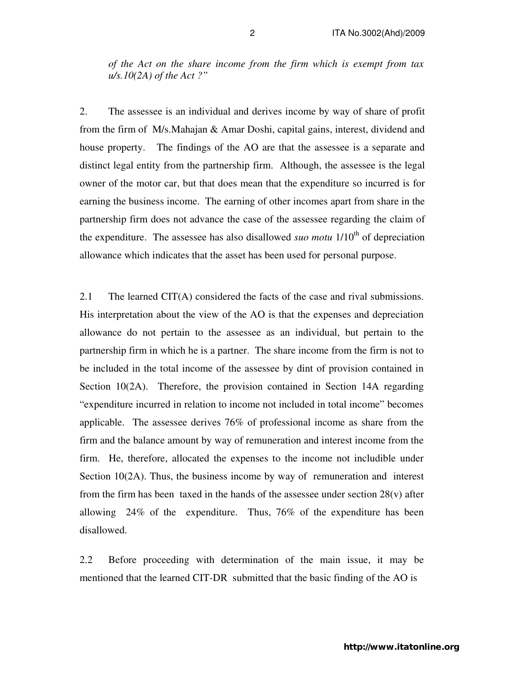*of the Act on the share income from the firm which is exempt from tax u/s.10(2A) of the Act ?"* 

2. The assessee is an individual and derives income by way of share of profit from the firm of M/s.Mahajan & Amar Doshi, capital gains, interest, dividend and house property. The findings of the AO are that the assessee is a separate and distinct legal entity from the partnership firm. Although, the assessee is the legal owner of the motor car, but that does mean that the expenditure so incurred is for earning the business income. The earning of other incomes apart from share in the partnership firm does not advance the case of the assessee regarding the claim of the expenditure. The assessee has also disallowed *suo motu*  $1/10<sup>th</sup>$  of depreciation allowance which indicates that the asset has been used for personal purpose.

2.1 The learned CIT(A) considered the facts of the case and rival submissions. His interpretation about the view of the AO is that the expenses and depreciation allowance do not pertain to the assessee as an individual, but pertain to the partnership firm in which he is a partner. The share income from the firm is not to be included in the total income of the assessee by dint of provision contained in Section 10(2A). Therefore, the provision contained in Section 14A regarding "expenditure incurred in relation to income not included in total income" becomes applicable. The assessee derives 76% of professional income as share from the firm and the balance amount by way of remuneration and interest income from the firm. He, therefore, allocated the expenses to the income not includible under Section 10(2A). Thus, the business income by way of remuneration and interest from the firm has been taxed in the hands of the assessee under section  $28(v)$  after allowing 24% of the expenditure. Thus, 76% of the expenditure has been disallowed.

2.2 Before proceeding with determination of the main issue, it may be mentioned that the learned CIT-DR submitted that the basic finding of the AO is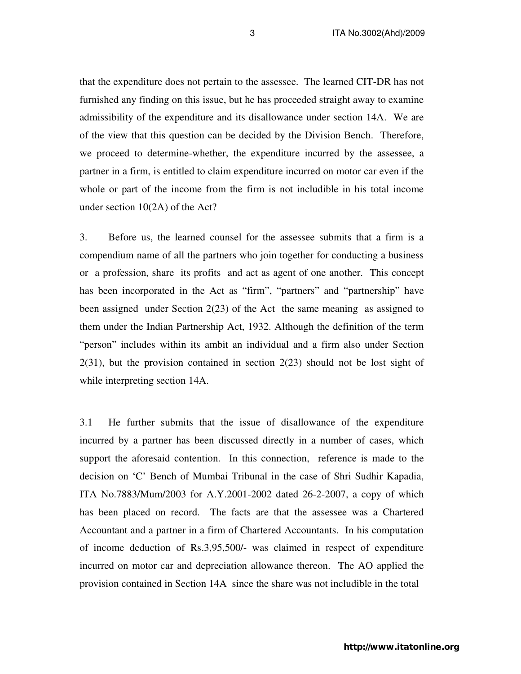that the expenditure does not pertain to the assessee. The learned CIT-DR has not furnished any finding on this issue, but he has proceeded straight away to examine admissibility of the expenditure and its disallowance under section 14A. We are of the view that this question can be decided by the Division Bench. Therefore, we proceed to determine-whether, the expenditure incurred by the assessee, a partner in a firm, is entitled to claim expenditure incurred on motor car even if the whole or part of the income from the firm is not includible in his total income under section 10(2A) of the Act?

3. Before us, the learned counsel for the assessee submits that a firm is a compendium name of all the partners who join together for conducting a business or a profession, share its profits and act as agent of one another. This concept has been incorporated in the Act as "firm", "partners" and "partnership" have been assigned under Section 2(23) of the Act the same meaning as assigned to them under the Indian Partnership Act, 1932. Although the definition of the term "person" includes within its ambit an individual and a firm also under Section 2(31), but the provision contained in section 2(23) should not be lost sight of while interpreting section 14A.

3.1 He further submits that the issue of disallowance of the expenditure incurred by a partner has been discussed directly in a number of cases, which support the aforesaid contention. In this connection, reference is made to the decision on 'C' Bench of Mumbai Tribunal in the case of Shri Sudhir Kapadia, ITA No.7883/Mum/2003 for A.Y.2001-2002 dated 26-2-2007, a copy of which has been placed on record. The facts are that the assessee was a Chartered Accountant and a partner in a firm of Chartered Accountants. In his computation of income deduction of Rs.3,95,500/- was claimed in respect of expenditure incurred on motor car and depreciation allowance thereon. The AO applied the provision contained in Section 14A since the share was not includible in the total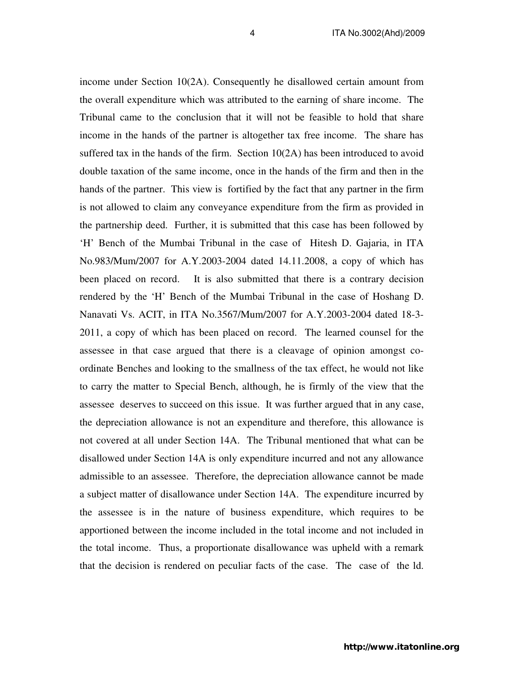income under Section 10(2A). Consequently he disallowed certain amount from the overall expenditure which was attributed to the earning of share income. The Tribunal came to the conclusion that it will not be feasible to hold that share income in the hands of the partner is altogether tax free income. The share has suffered tax in the hands of the firm. Section  $10(2A)$  has been introduced to avoid double taxation of the same income, once in the hands of the firm and then in the hands of the partner. This view is fortified by the fact that any partner in the firm is not allowed to claim any conveyance expenditure from the firm as provided in the partnership deed. Further, it is submitted that this case has been followed by 'H' Bench of the Mumbai Tribunal in the case of Hitesh D. Gajaria, in ITA No.983/Mum/2007 for A.Y.2003-2004 dated 14.11.2008, a copy of which has been placed on record. It is also submitted that there is a contrary decision rendered by the 'H' Bench of the Mumbai Tribunal in the case of Hoshang D. Nanavati Vs. ACIT, in ITA No.3567/Mum/2007 for A.Y.2003-2004 dated 18-3- 2011, a copy of which has been placed on record. The learned counsel for the assessee in that case argued that there is a cleavage of opinion amongst coordinate Benches and looking to the smallness of the tax effect, he would not like to carry the matter to Special Bench, although, he is firmly of the view that the assessee deserves to succeed on this issue. It was further argued that in any case, the depreciation allowance is not an expenditure and therefore, this allowance is not covered at all under Section 14A. The Tribunal mentioned that what can be disallowed under Section 14A is only expenditure incurred and not any allowance admissible to an assessee. Therefore, the depreciation allowance cannot be made a subject matter of disallowance under Section 14A. The expenditure incurred by the assessee is in the nature of business expenditure, which requires to be apportioned between the income included in the total income and not included in the total income. Thus, a proportionate disallowance was upheld with a remark that the decision is rendered on peculiar facts of the case. The case of the ld.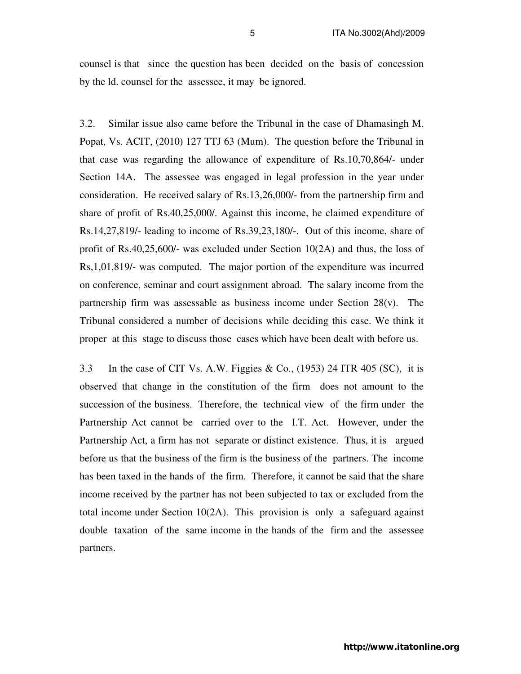counsel is that since the question has been decided on the basis of concession by the ld. counsel for the assessee, it may be ignored.

3.2. Similar issue also came before the Tribunal in the case of Dhamasingh M. Popat, Vs. ACIT, (2010) 127 TTJ 63 (Mum). The question before the Tribunal in that case was regarding the allowance of expenditure of Rs.10,70,864/- under Section 14A. The assessee was engaged in legal profession in the year under consideration. He received salary of Rs.13,26,000/- from the partnership firm and share of profit of Rs.40,25,000/. Against this income, he claimed expenditure of Rs.14,27,819/- leading to income of Rs.39,23,180/-. Out of this income, share of profit of Rs.40,25,600/- was excluded under Section 10(2A) and thus, the loss of Rs,1,01,819/- was computed. The major portion of the expenditure was incurred on conference, seminar and court assignment abroad. The salary income from the partnership firm was assessable as business income under Section  $28(v)$ . The Tribunal considered a number of decisions while deciding this case. We think it proper at this stage to discuss those cases which have been dealt with before us.

3.3 In the case of CIT Vs. A.W. Figgies & Co.,  $(1953)$  24 ITR 405 (SC), it is observed that change in the constitution of the firm does not amount to the succession of the business. Therefore, the technical view of the firm under the Partnership Act cannot be carried over to the I.T. Act. However, under the Partnership Act, a firm has not separate or distinct existence. Thus, it is argued before us that the business of the firm is the business of the partners. The income has been taxed in the hands of the firm. Therefore, it cannot be said that the share income received by the partner has not been subjected to tax or excluded from the total income under Section 10(2A). This provision is only a safeguard against double taxation of the same income in the hands of the firm and the assessee partners.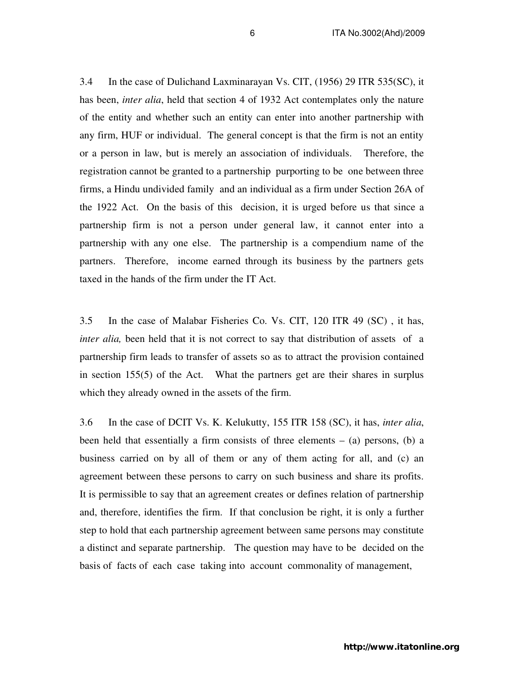3.4 In the case of Dulichand Laxminarayan Vs. CIT, (1956) 29 ITR 535(SC), it has been, *inter alia*, held that section 4 of 1932 Act contemplates only the nature of the entity and whether such an entity can enter into another partnership with any firm, HUF or individual. The general concept is that the firm is not an entity or a person in law, but is merely an association of individuals. Therefore, the registration cannot be granted to a partnership purporting to be one between three firms, a Hindu undivided family and an individual as a firm under Section 26A of the 1922 Act. On the basis of this decision, it is urged before us that since a partnership firm is not a person under general law, it cannot enter into a partnership with any one else. The partnership is a compendium name of the partners. Therefore, income earned through its business by the partners gets taxed in the hands of the firm under the IT Act.

3.5 In the case of Malabar Fisheries Co. Vs. CIT, 120 ITR 49 (SC) , it has, *inter alia,* been held that it is not correct to say that distribution of assets of a partnership firm leads to transfer of assets so as to attract the provision contained in section 155(5) of the Act. What the partners get are their shares in surplus which they already owned in the assets of the firm.

3.6 In the case of DCIT Vs. K. Kelukutty, 155 ITR 158 (SC), it has, *inter alia*, been held that essentially a firm consists of three elements  $-$  (a) persons, (b) a business carried on by all of them or any of them acting for all, and (c) an agreement between these persons to carry on such business and share its profits. It is permissible to say that an agreement creates or defines relation of partnership and, therefore, identifies the firm. If that conclusion be right, it is only a further step to hold that each partnership agreement between same persons may constitute a distinct and separate partnership. The question may have to be decided on the basis of facts of each case taking into account commonality of management,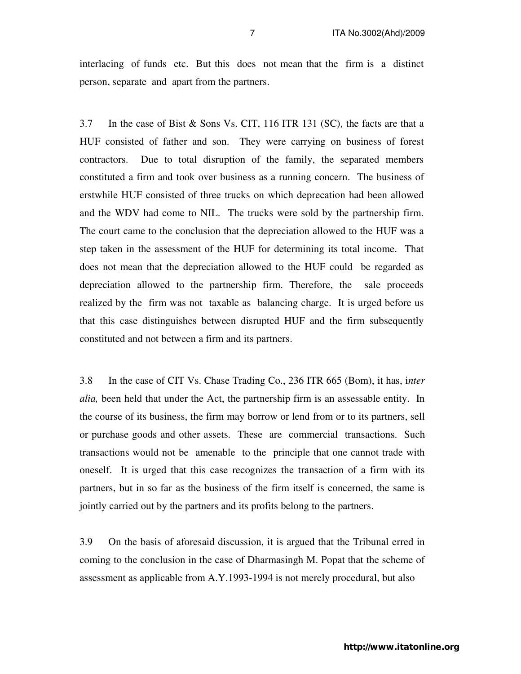interlacing of funds etc. But this does not mean that the firm is a distinct person, separate and apart from the partners.

3.7 In the case of Bist & Sons Vs. CIT, 116 ITR 131 (SC), the facts are that a HUF consisted of father and son. They were carrying on business of forest contractors. Due to total disruption of the family, the separated members constituted a firm and took over business as a running concern. The business of erstwhile HUF consisted of three trucks on which deprecation had been allowed and the WDV had come to NIL. The trucks were sold by the partnership firm. The court came to the conclusion that the depreciation allowed to the HUF was a step taken in the assessment of the HUF for determining its total income. That does not mean that the depreciation allowed to the HUF could be regarded as depreciation allowed to the partnership firm. Therefore, the sale proceeds realized by the firm was not taxable as balancing charge. It is urged before us that this case distinguishes between disrupted HUF and the firm subsequently constituted and not between a firm and its partners.

3.8 In the case of CIT Vs. Chase Trading Co., 236 ITR 665 (Bom), it has, i*nter alia,* been held that under the Act, the partnership firm is an assessable entity. In the course of its business, the firm may borrow or lend from or to its partners, sell or purchase goods and other assets. These are commercial transactions. Such transactions would not be amenable to the principle that one cannot trade with oneself. It is urged that this case recognizes the transaction of a firm with its partners, but in so far as the business of the firm itself is concerned, the same is jointly carried out by the partners and its profits belong to the partners.

3.9 On the basis of aforesaid discussion, it is argued that the Tribunal erred in coming to the conclusion in the case of Dharmasingh M. Popat that the scheme of assessment as applicable from A.Y.1993-1994 is not merely procedural, but also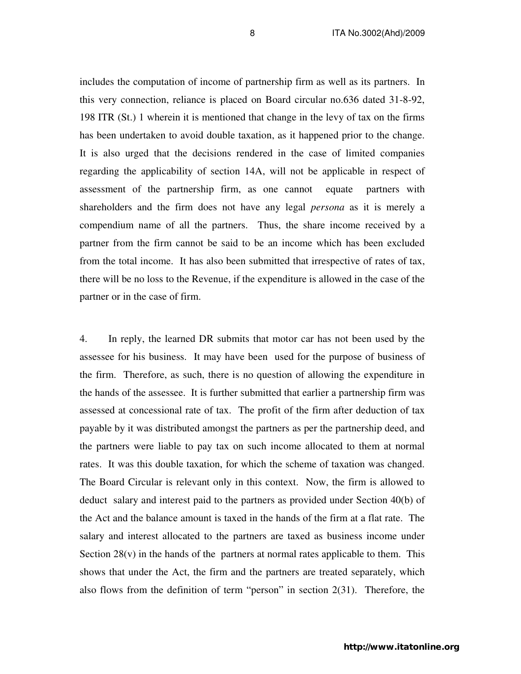includes the computation of income of partnership firm as well as its partners. In this very connection, reliance is placed on Board circular no.636 dated 31-8-92, 198 ITR (St.) 1 wherein it is mentioned that change in the levy of tax on the firms has been undertaken to avoid double taxation, as it happened prior to the change. It is also urged that the decisions rendered in the case of limited companies regarding the applicability of section 14A, will not be applicable in respect of assessment of the partnership firm, as one cannot equate partners with shareholders and the firm does not have any legal *persona* as it is merely a compendium name of all the partners. Thus, the share income received by a partner from the firm cannot be said to be an income which has been excluded from the total income. It has also been submitted that irrespective of rates of tax, there will be no loss to the Revenue, if the expenditure is allowed in the case of the partner or in the case of firm.

4. In reply, the learned DR submits that motor car has not been used by the assessee for his business. It may have been used for the purpose of business of the firm. Therefore, as such, there is no question of allowing the expenditure in the hands of the assessee. It is further submitted that earlier a partnership firm was assessed at concessional rate of tax. The profit of the firm after deduction of tax payable by it was distributed amongst the partners as per the partnership deed, and the partners were liable to pay tax on such income allocated to them at normal rates. It was this double taxation, for which the scheme of taxation was changed. The Board Circular is relevant only in this context. Now, the firm is allowed to deduct salary and interest paid to the partners as provided under Section 40(b) of the Act and the balance amount is taxed in the hands of the firm at a flat rate. The salary and interest allocated to the partners are taxed as business income under Section  $28(v)$  in the hands of the partners at normal rates applicable to them. This shows that under the Act, the firm and the partners are treated separately, which also flows from the definition of term "person" in section 2(31). Therefore, the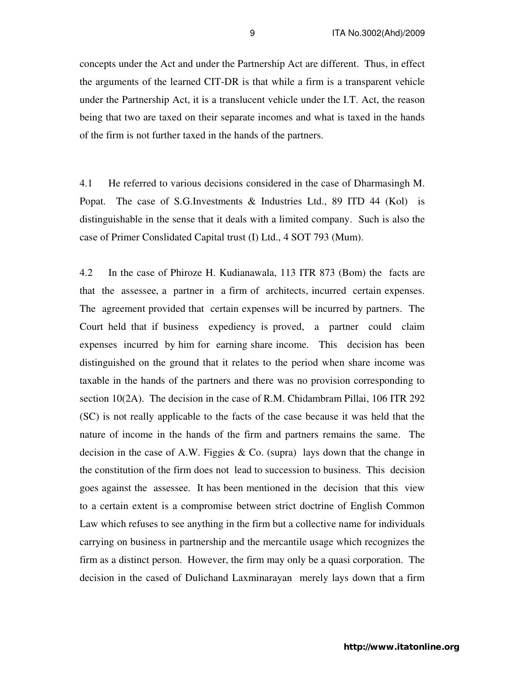concepts under the Act and under the Partnership Act are different. Thus, in effect the arguments of the learned CIT-DR is that while a firm is a transparent vehicle under the Partnership Act, it is a translucent vehicle under the I.T. Act, the reason being that two are taxed on their separate incomes and what is taxed in the hands of the firm is not further taxed in the hands of the partners.

4.1 He referred to various decisions considered in the case of Dharmasingh M. Popat. The case of S.G.Investments & Industries Ltd., 89 ITD 44 (Kol) is distinguishable in the sense that it deals with a limited company. Such is also the case of Primer Conslidated Capital trust (I) Ltd., 4 SOT 793 (Mum).

4.2 In the case of Phiroze H. Kudianawala, 113 ITR 873 (Bom) the facts are that the assessee, a partner in a firm of architects, incurred certain expenses. The agreement provided that certain expenses will be incurred by partners. The Court held that if business expediency is proved, a partner could claim expenses incurred by him for earning share income. This decision has been distinguished on the ground that it relates to the period when share income was taxable in the hands of the partners and there was no provision corresponding to section 10(2A). The decision in the case of R.M. Chidambram Pillai, 106 ITR 292 (SC) is not really applicable to the facts of the case because it was held that the nature of income in the hands of the firm and partners remains the same. The decision in the case of A.W. Figgies  $\&$  Co. (supra) lays down that the change in the constitution of the firm does not lead to succession to business. This decision goes against the assessee. It has been mentioned in the decision that this view to a certain extent is a compromise between strict doctrine of English Common Law which refuses to see anything in the firm but a collective name for individuals carrying on business in partnership and the mercantile usage which recognizes the firm as a distinct person. However, the firm may only be a quasi corporation. The decision in the cased of Dulichand Laxminarayan merely lays down that a firm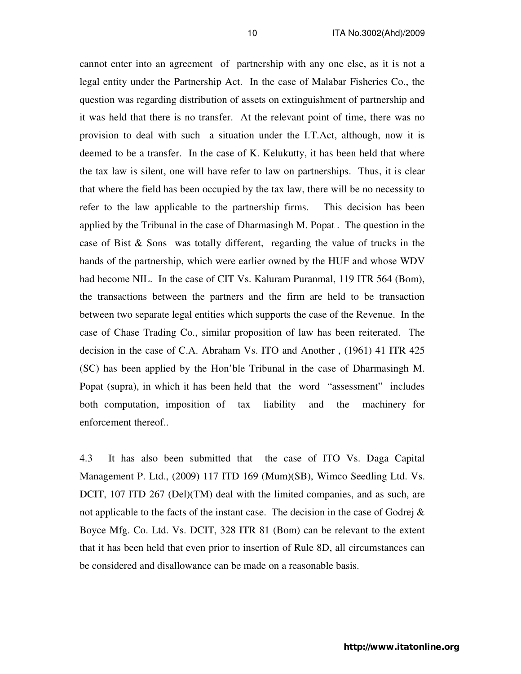cannot enter into an agreement of partnership with any one else, as it is not a legal entity under the Partnership Act. In the case of Malabar Fisheries Co., the question was regarding distribution of assets on extinguishment of partnership and it was held that there is no transfer. At the relevant point of time, there was no provision to deal with such a situation under the I.T.Act, although, now it is deemed to be a transfer. In the case of K. Kelukutty, it has been held that where the tax law is silent, one will have refer to law on partnerships. Thus, it is clear that where the field has been occupied by the tax law, there will be no necessity to refer to the law applicable to the partnership firms. This decision has been applied by the Tribunal in the case of Dharmasingh M. Popat . The question in the case of Bist & Sons was totally different, regarding the value of trucks in the hands of the partnership, which were earlier owned by the HUF and whose WDV had become NIL. In the case of CIT Vs. Kaluram Puranmal, 119 ITR 564 (Bom), the transactions between the partners and the firm are held to be transaction between two separate legal entities which supports the case of the Revenue. In the case of Chase Trading Co., similar proposition of law has been reiterated. The decision in the case of C.A. Abraham Vs. ITO and Another , (1961) 41 ITR 425 (SC) has been applied by the Hon'ble Tribunal in the case of Dharmasingh M. Popat (supra), in which it has been held that the word "assessment" includes both computation, imposition of tax liability and the machinery for enforcement thereof..

4.3 It has also been submitted that the case of ITO Vs. Daga Capital Management P. Ltd., (2009) 117 ITD 169 (Mum)(SB), Wimco Seedling Ltd. Vs. DCIT, 107 ITD 267 (Del)(TM) deal with the limited companies, and as such, are not applicable to the facts of the instant case. The decision in the case of Godrej  $\&$ Boyce Mfg. Co. Ltd. Vs. DCIT, 328 ITR 81 (Bom) can be relevant to the extent that it has been held that even prior to insertion of Rule 8D, all circumstances can be considered and disallowance can be made on a reasonable basis.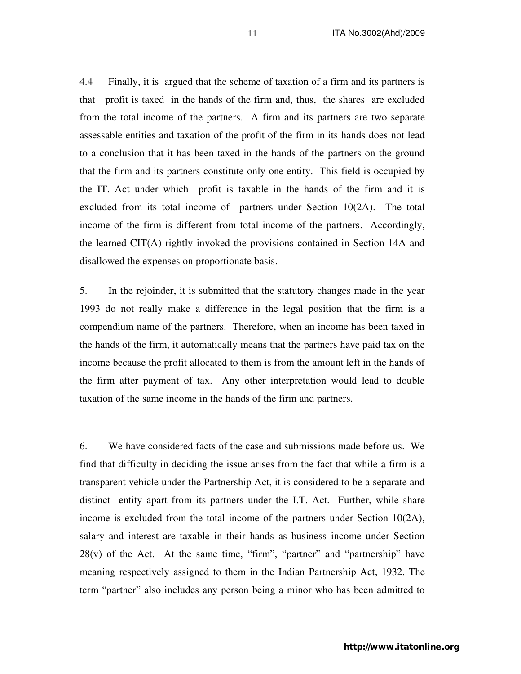4.4 Finally, it is argued that the scheme of taxation of a firm and its partners is that profit is taxed in the hands of the firm and, thus, the shares are excluded from the total income of the partners. A firm and its partners are two separate assessable entities and taxation of the profit of the firm in its hands does not lead to a conclusion that it has been taxed in the hands of the partners on the ground that the firm and its partners constitute only one entity. This field is occupied by the IT. Act under which profit is taxable in the hands of the firm and it is excluded from its total income of partners under Section 10(2A). The total income of the firm is different from total income of the partners. Accordingly, the learned CIT(A) rightly invoked the provisions contained in Section 14A and disallowed the expenses on proportionate basis.

5. In the rejoinder, it is submitted that the statutory changes made in the year 1993 do not really make a difference in the legal position that the firm is a compendium name of the partners. Therefore, when an income has been taxed in the hands of the firm, it automatically means that the partners have paid tax on the income because the profit allocated to them is from the amount left in the hands of the firm after payment of tax. Any other interpretation would lead to double taxation of the same income in the hands of the firm and partners.

6. We have considered facts of the case and submissions made before us. We find that difficulty in deciding the issue arises from the fact that while a firm is a transparent vehicle under the Partnership Act, it is considered to be a separate and distinct entity apart from its partners under the I.T. Act. Further, while share income is excluded from the total income of the partners under Section  $10(2A)$ , salary and interest are taxable in their hands as business income under Section  $28(v)$  of the Act. At the same time, "firm", "partner" and "partnership" have meaning respectively assigned to them in the Indian Partnership Act, 1932. The term "partner" also includes any person being a minor who has been admitted to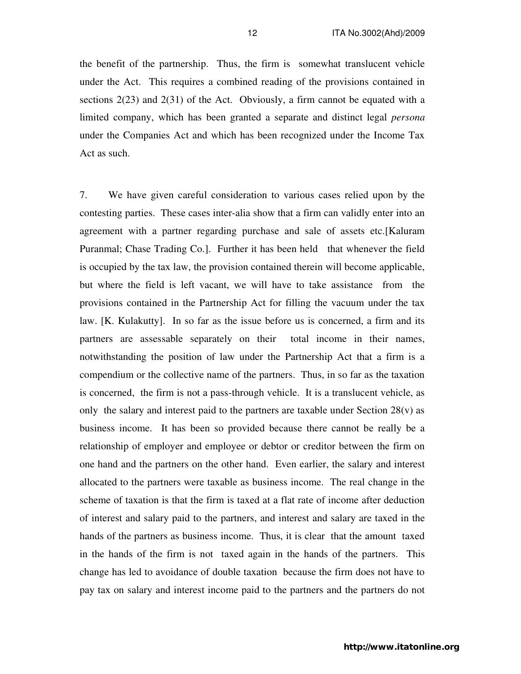the benefit of the partnership. Thus, the firm is somewhat translucent vehicle under the Act. This requires a combined reading of the provisions contained in sections 2(23) and 2(31) of the Act. Obviously, a firm cannot be equated with a limited company, which has been granted a separate and distinct legal *persona* under the Companies Act and which has been recognized under the Income Tax Act as such.

7. We have given careful consideration to various cases relied upon by the contesting parties. These cases inter-alia show that a firm can validly enter into an agreement with a partner regarding purchase and sale of assets etc.[Kaluram Puranmal; Chase Trading Co.]. Further it has been held that whenever the field is occupied by the tax law, the provision contained therein will become applicable, but where the field is left vacant, we will have to take assistance from the provisions contained in the Partnership Act for filling the vacuum under the tax law. [K. Kulakutty]. In so far as the issue before us is concerned, a firm and its partners are assessable separately on their total income in their names, notwithstanding the position of law under the Partnership Act that a firm is a compendium or the collective name of the partners. Thus, in so far as the taxation is concerned, the firm is not a pass-through vehicle. It is a translucent vehicle, as only the salary and interest paid to the partners are taxable under Section  $28(v)$  as business income. It has been so provided because there cannot be really be a relationship of employer and employee or debtor or creditor between the firm on one hand and the partners on the other hand. Even earlier, the salary and interest allocated to the partners were taxable as business income. The real change in the scheme of taxation is that the firm is taxed at a flat rate of income after deduction of interest and salary paid to the partners, and interest and salary are taxed in the hands of the partners as business income. Thus, it is clear that the amount taxed in the hands of the firm is not taxed again in the hands of the partners. This change has led to avoidance of double taxation because the firm does not have to pay tax on salary and interest income paid to the partners and the partners do not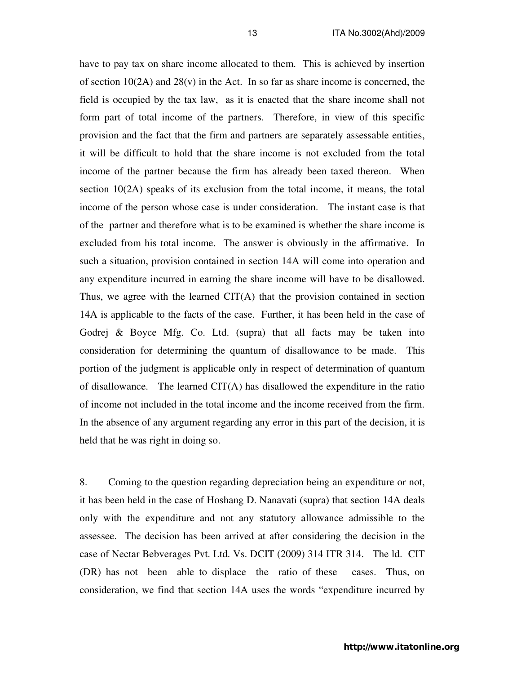have to pay tax on share income allocated to them. This is achieved by insertion of section  $10(2A)$  and  $28(v)$  in the Act. In so far as share income is concerned, the field is occupied by the tax law, as it is enacted that the share income shall not form part of total income of the partners. Therefore, in view of this specific provision and the fact that the firm and partners are separately assessable entities, it will be difficult to hold that the share income is not excluded from the total income of the partner because the firm has already been taxed thereon. When section 10(2A) speaks of its exclusion from the total income, it means, the total income of the person whose case is under consideration. The instant case is that of the partner and therefore what is to be examined is whether the share income is excluded from his total income. The answer is obviously in the affirmative. In such a situation, provision contained in section 14A will come into operation and any expenditure incurred in earning the share income will have to be disallowed. Thus, we agree with the learned CIT(A) that the provision contained in section 14A is applicable to the facts of the case. Further, it has been held in the case of Godrej & Boyce Mfg. Co. Ltd. (supra) that all facts may be taken into consideration for determining the quantum of disallowance to be made. This portion of the judgment is applicable only in respect of determination of quantum of disallowance. The learned  $CIT(A)$  has disallowed the expenditure in the ratio of income not included in the total income and the income received from the firm. In the absence of any argument regarding any error in this part of the decision, it is held that he was right in doing so.

8. Coming to the question regarding depreciation being an expenditure or not, it has been held in the case of Hoshang D. Nanavati (supra) that section 14A deals only with the expenditure and not any statutory allowance admissible to the assessee. The decision has been arrived at after considering the decision in the case of Nectar Bebverages Pvt. Ltd. Vs. DCIT (2009) 314 ITR 314. The ld. CIT (DR) has not been able to displace the ratio of these cases. Thus, on consideration, we find that section 14A uses the words "expenditure incurred by